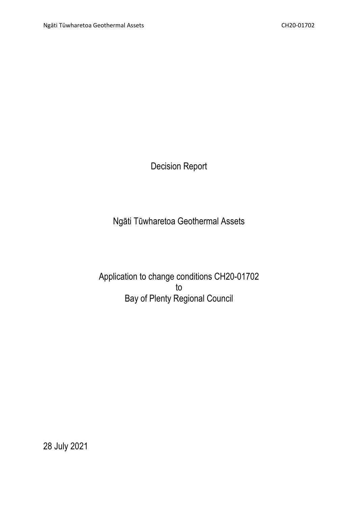Decision Report

Ngāti Tūwharetoa Geothermal Assets

Application to change conditions CH20-01702 to Bay of Plenty Regional Council

28 July 2021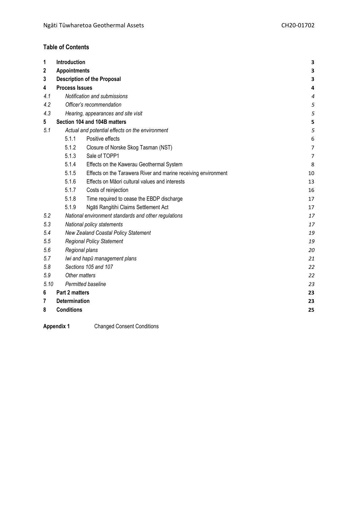# **Table of Contents**

| 1    | Introduction                                         |                                                                | 3              |
|------|------------------------------------------------------|----------------------------------------------------------------|----------------|
| 2    | <b>Appointments</b>                                  | 3                                                              |                |
| 3    |                                                      | <b>Description of the Proposal</b>                             | 3              |
| 4    | <b>Process Issues</b>                                |                                                                | 4              |
| 4.1  | Notification and submissions                         |                                                                | $\overline{4}$ |
| 4.2  | Officer's recommendation                             |                                                                |                |
| 4.3  |                                                      | Hearing, appearances and site visit                            | 5<br>5         |
| 5    | Section 104 and 104B matters                         |                                                                |                |
| 5.1  | Actual and potential effects on the environment      |                                                                | 5<br>5         |
|      | 5.1.1<br>Positive effects                            |                                                                |                |
|      | 5.1.2                                                |                                                                | 6              |
|      | 5.1.3                                                | Closure of Norske Skog Tasman (NST)<br>Sale of TOPP1           | 7              |
|      | 5.1.4                                                |                                                                | $\overline{7}$ |
|      | 5.1.5                                                | Effects on the Kawerau Geothermal System                       | 8              |
|      |                                                      | Effects on the Tarawera River and marine receiving environment | 10             |
|      | 5.1.6                                                | Effects on Māori cultural values and interests                 | 13             |
|      | 5.1.7                                                | Costs of reinjection                                           | 16             |
|      | 5.1.8                                                | Time required to cease the EBDP discharge                      | 17             |
|      | 5.1.9                                                | Ngāti Rangitihi Claims Settlement Act                          | 17             |
| 5.2  | National environment standards and other regulations |                                                                | 17             |
| 5.3  | National policy statements                           |                                                                | 17             |
| 5.4  | <b>New Zealand Coastal Policy Statement</b>          |                                                                | 19             |
| 5.5  | <b>Regional Policy Statement</b>                     |                                                                | 19             |
| 5.6  | Regional plans                                       |                                                                | 20             |
| 5.7  | Iwi and hapū management plans                        |                                                                | 21             |
| 5.8  | Sections 105 and 107                                 |                                                                | 22             |
| 5.9  | Other matters                                        |                                                                | 22             |
| 5.10 | Permitted baseline                                   |                                                                | 23             |
| 6    | Part 2 matters                                       |                                                                | 23             |
| 7    | <b>Determination</b>                                 |                                                                | 23             |
| 8    | <b>Conditions</b><br>25                              |                                                                |                |

**Appendix 1** Changed Consent Conditions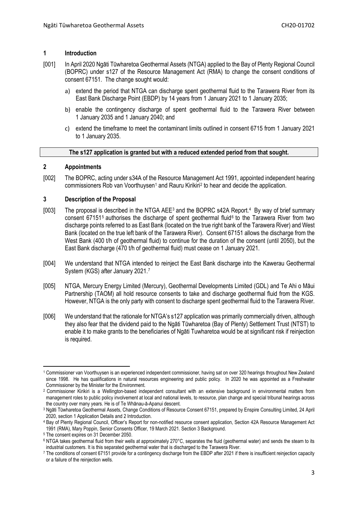### <span id="page-2-0"></span>**1 Introduction**

- [001] In April 2020 Ngāti Tūwharetoa Geothermal Assets (NTGA) applied to the Bay of Plenty Regional Council (BOPRC) under s127 of the Resource Management Act (RMA) to change the consent conditions of consent 67151. The change sought would:
	- a) extend the period that NTGA can discharge spent geothermal fluid to the Tarawera River from its East Bank Discharge Point (EBDP) by 14 years from 1 January 2021 to 1 January 2035;
	- b) enable the contingency discharge of spent geothermal fluid to the Tarawera River between 1 January 2035 and 1 January 2040; and
	- c) extend the timeframe to meet the contaminant limits outlined in consent 6715 from 1 January 2021 to 1 January 2035.

# **The s127 application is granted but with a reduced extended period from that sought.**

# <span id="page-2-1"></span>**2 Appointments**

[002] The BOPRC, acting under s34A of the Resource Management Act 1991, appointed independent hearing commissioners Rob van Voorthuysen<sup>[1](#page-2-3)</sup> and Rauru Kirikiri<sup>[2](#page-2-4)</sup> to hear and decide the application.

# <span id="page-2-2"></span>**3 Description of the Proposal**

- [00[3](#page-2-5)] The proposal is described in the NTGA AEE<sup>3</sup> and the BOPRC s42A Report.<sup>4</sup> By way of brief summary consent 671[5](#page-2-7)1<sup>5</sup> authorises the discharge of spent geothermal fluid<sup>[6](#page-2-8)</sup> to the Tarawera River from two discharge points referred to as East Bank (located on the true right bank of the Tarawera River) and West Bank (located on the true left bank of the Tarawera River). Consent 67151 allows the discharge from the West Bank (400 t/h of geothermal fluid) to continue for the duration of the consent (until 2050), but the East Bank discharge (470 t/h of geothermal fluid) must cease on 1 January 2021.
- [004] We understand that NTGA intended to reinject the East Bank discharge into the Kawerau Geothermal System (KGS) after January 2021.<sup>[7](#page-2-9)</sup>
- [005] NTGA, Mercury Energy Limited (Mercury), Geothermal Developments Limited (GDL) and Te Ahi o Māui Partnership (TAOM) all hold resource consents to take and discharge geothermal fluid from the KGS. However, NTGA is the only party with consent to discharge spent geothermal fluid to the Tarawera River.
- [006] We understand that the rationale for NTGA's s127 application was primarily commercially driven, although they also fear that the dividend paid to the Ngāti Tūwharetoa (Bay of Plenty) Settlement Trust (NTST) to enable it to make grants to the beneficiaries of Ngāti Tuwharetoa would be at significant risk if reinjection is required.

<span id="page-2-3"></span>**<sup>.</sup>** <sup>1</sup> Commissioner van Voorthuysen is an experienced independent commissioner, having sat on over 320 hearings throughout New Zealand since 1998. He has qualifications in natural resources engineering and public policy. In 2020 he was appointed as a Freshwater Commissioner by the Minister for the Environment.

<span id="page-2-4"></span><sup>&</sup>lt;sup>2</sup> Commissioner Kirikiri is a Wellington-based independent consultant with an extensive background in environmental matters from management roles to public policy involvement at local and national levels, to resource, plan change and special tribunal hearings across the country over many years. He is of Te Whānau-ā-Apanui descent.

<span id="page-2-5"></span><sup>3</sup> Ngāti Tūwharetoa Geothermal Assets, Change Conditions of Resource Consent 67151, prepared by Enspire Consulting Limited, 24 April 2020, section 1 Application Details and 2 Introduction.

<span id="page-2-6"></span><sup>4</sup> Bay of Plenty Regional Council, Officer's Report for non-notified resource consent application, Section 42A Resource Management Act 1991 (RMA), Mary Poppin, Senior Consents Officer, 19 March 2021. Section 3 Background.

<span id="page-2-7"></span><sup>5</sup> The consent expires on 31 December 2050.

<span id="page-2-8"></span><sup>6</sup> NTGA takes geothermal fluid from their wells at approximately 270°C, separates the fluid (geothermal water) and sends the steam to its industrial customers. It is this separated geothermal water that is discharged to the Tarawera River.

<span id="page-2-9"></span><sup>7</sup> The conditions of consent 67151 provide for a contingency discharge from the EBDP after 2021 if there is insufficient reinjection capacity or a failure of the reinjection wells.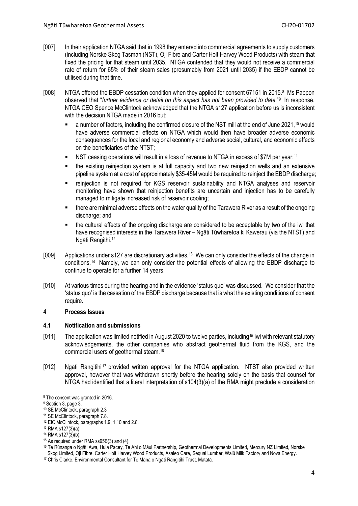- [007] In their application NTGA said that in 1998 they entered into commercial agreements to supply customers (including Norske Skog Tasman (NST), Oji Fibre and Carter Holt Harvey Wood Products) with steam that fixed the pricing for that steam until 2035. NTGA contended that they would not receive a commercial rate of return for 65% of their steam sales (presumably from 2021 until 2035) if the EBDP cannot be utilised during that time.
- [008] NTGA offered the EBDP cessation condition when they applied for consent 67151 in 2015.[8](#page-3-2) Ms Pappon observed that "*further evidence or detail on this aspect has not been provided to date*."[9](#page-3-3) In response, NTGA CEO Spence McClintock acknowledged that the NTGA s127 application before us is inconsistent with the decision NTGA made in 2016 but:
	- a number of factors, including the confirmed closure of the NST mill at the end of June 2021,<sup>[10](#page-3-4)</sup> would have adverse commercial effects on NTGA which would then have broader adverse economic consequences for the local and regional economy and adverse social, cultural, and economic effects on the beneficiaries of the NTST;
	- NST ceasing operations will result in a loss of revenue to NTGA in excess of \$7M per year;[11](#page-3-5)
	- the existing reinjection system is at full capacity and two new reinjection wells and an extensive pipeline system at a cost of approximately \$35-45M would be required to reinject the EBDP discharge;
	- reinjection is not required for KGS reservoir sustainability and NTGA analyses and reservoir monitoring have shown that reinjection benefits are uncertain and injection has to be carefully managed to mitigate increased risk of reservoir cooling;
	- there are minimal adverse effects on the water quality of the Tarawera River as a result of the ongoing discharge; and
	- the cultural effects of the ongoing discharge are considered to be acceptable by two of the iwi that have recognised interests in the Tarawera River – Ngāti Tūwharetoa ki Kawerau (via the NTST) and Ngāti Rangithi. [12](#page-3-6)
- [009] Applications under s127 are discretionary activities.<sup>[13](#page-3-7)</sup> We can only consider the effects of the change in conditions.[14](#page-3-8) Namely, we can only consider the potential effects of allowing the EBDP discharge to continue to operate for a further 14 years.
- [010] At various times during the hearing and in the evidence 'status quo' was discussed. We consider that the 'status quo' is the cessation of the EBDP discharge because that is what the existing conditions of consent require.

# <span id="page-3-0"></span>**4 Process Issues**

# <span id="page-3-1"></span>**4.1 Notification and submissions**

- [011] The application was limited notified in August 2020 to twelve parties, including<sup>[15](#page-3-9)</sup> iwi with relevant statutory acknowledgements, the other companies who abstract geothermal fluid from the KGS, and the commercial users of geothermal steam. [16](#page-3-10)
- [012] Ngāti Rangitihi [17](#page-3-11) provided written approval for the NTGA application. NTST also provided written approval, however that was withdrawn shortly before the hearing solely on the basis that counsel for NTGA had identified that a literal interpretation of s104(3)(a) of the RMA might preclude a consideration

<span id="page-3-2"></span><sup>8</sup> The consent was granted in 2016.

<span id="page-3-3"></span><sup>&</sup>lt;sup>9</sup> Section 3, page 3.

<span id="page-3-4"></span><sup>10</sup> SE McClintock, paragraph 2.3

<span id="page-3-5"></span><sup>11</sup> SE McClintock, paragraph 7.8.

<span id="page-3-6"></span><sup>12</sup> EIC McClintock, paragraphs 1.9, 1.10 and 2.8.

<sup>13</sup> RMA s127(3)(a)

<span id="page-3-9"></span><span id="page-3-8"></span><span id="page-3-7"></span><sup>14</sup> RMA s127(3)(b). <sup>15</sup> As required under RMA ss95B(3) and (4).

<span id="page-3-10"></span><sup>16</sup> Te Rūnanga o Ngāti Awa, Huia Pacey, Te Ahi o Māui Partnership, Geothermal Developments Limited, Mercury NZ Limited, Norske Skog Limited, Oji Fibre, Carter Holt Harvey Wood Products, Asaleo Care, Sequal Lumber, Waiū Milk Factory and Nova Energy.

<span id="page-3-11"></span><sup>&</sup>lt;sup>17</sup> Chris Clarke. Environmental Consultant for Te Mana o Ngāti Rangitihi Trust, Matatā.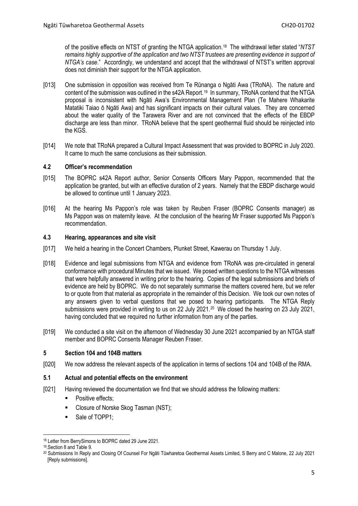of the positive effects on NTST of granting the NTGA application.[18](#page-4-4) The withdrawal letter stated "*NTST remains highly supportive of the application and two NTST trustees are presenting evidence in support of NTGA's case*." Accordingly, we understand and accept that the withdrawal of NTST's written approval does not diminish their support for the NTGA application.

- [013] One submission in opposition was received from Te Rūnanga o Ngāti Awa (TRoNA). The nature and content of the submission was outlined in the s42A Report.[19](#page-4-5) In summary, TRoNA contend that the NTGA proposal is inconsistent with Ngāti Awa's Environmental Management Plan (Te Mahere Whakarite Matatiki Taiao ō Ngāti Awa) and has significant impacts on their cultural values. They are concerned about the water quality of the Tarawera River and are not convinced that the effects of the EBDP discharge are less than minor. TRoNA believe that the spent geothermal fluid should be reinjected into the KGS.
- [014] We note that TRoNA prepared a Cultural Impact Assessment that was provided to BOPRC in July 2020. It came to much the same conclusions as their submission.

# <span id="page-4-0"></span>**4.2 Officer's recommendation**

- [015] The BOPRC s42A Report author, Senior Consents Officers Mary Pappon, recommended that the application be granted, but with an effective duration of 2 years. Namely that the EBDP discharge would be allowed to continue until 1 January 2023.
- [016] At the hearing Ms Pappon's role was taken by Reuben Fraser (BOPRC Consents manager) as Ms Pappon was on maternity leave. At the conclusion of the hearing Mr Fraser supported Ms Pappon's recommendation.

#### <span id="page-4-1"></span>**4.3 Hearing, appearances and site visit**

- [017] We held a hearing in the Concert Chambers, Plunket Street, Kawerau on Thursday 1 July.
- [018] Evidence and legal submissions from NTGA and evidence from TRoNA was pre-circulated in general conformance with procedural Minutes that we issued. We posed written questions to the NTGA witnesses that were helpfully answered in writing prior to the hearing. Copies of the legal submissions and briefs of evidence are held by BOPRC. We do not separately summarise the matters covered here, but we refer to or quote from that material as appropriate in the remainder of this Decision. We took our own notes of any answers given to verbal questions that we posed to hearing participants. The NTGA Reply submissions were provided in writing to us on 22 July [20](#page-4-6)21.<sup>20</sup> We closed the hearing on 23 July 2021, having concluded that we required no further information from any of the parties.
- [019] We conducted a site visit on the afternoon of Wednesday 30 June 2021 accompanied by an NTGA staff member and BOPRC Consents Manager Reuben Fraser.

# <span id="page-4-2"></span>**5 Section 104 and 104B matters**

[020] We now address the relevant aspects of the application in terms of sections 104 and 104B of the RMA.

# <span id="page-4-3"></span>**5.1 Actual and potential effects on the environment**

- [021] Having reviewed the documentation we find that we should address the following matters:
	- Positive effects;
	- Closure of Norske Skog Tasman (NST);
	- Sale of TOPP1;

<span id="page-4-4"></span><sup>18</sup> Letter from BerrySimons to BOPRC dated 29 June 2021.

<sup>19.</sup>Section 8 and Table 9.

<span id="page-4-6"></span><span id="page-4-5"></span><sup>20</sup> Submissions In Reply and Closing Of Counsel For Ngāti Tūwharetoa Geothermal Assets Limited, S Berry and C Malone, 22 July 2021 [Reply submissions].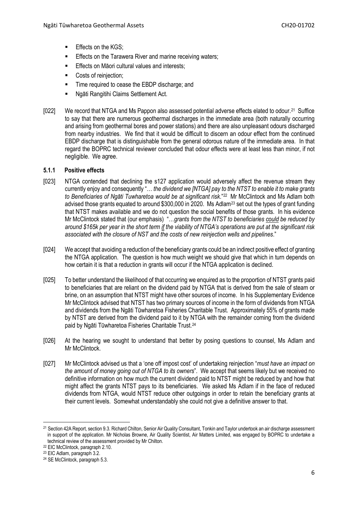- **Effects on the KGS;**
- **Effects on the Tarawera River and marine receiving waters;**
- **Effects on Māori cultural values and interests:**
- Costs of reinjection;
- Time required to cease the EBDP discharge; and
- Ngāti Rangitihi Claims Settlement Act.
- [022] We record that NTGA and Ms Pappon also assessed potential adverse effects elated to odour.<sup>[21](#page-5-1)</sup> Suffice to say that there are numerous geothermal discharges in the immediate area (both naturally occurring and arising from geothermal bores and power stations) and there are also unpleasant odours discharged from nearby industries. We find that it would be difficult to discern an odour effect from the continued EBDP discharge that is distinguishable from the general odorous nature of the immediate area. In that regard the BOPRC technical reviewer concluded that odour effects were at least less than minor, if not negligible. We agree.

# <span id="page-5-0"></span>**5.1.1 Positive effects**

- [023] NTGA contended that declining the s127 application would adversely affect the revenue stream they currently enjoy and consequently "… *the dividend we [NTGA] pay to the NTST to enable it to make grants to Beneficiaries of Ngāti Tuwharetoa would be at significant risk*."[22](#page-5-2) Mr McClintock and Ms Adlam both advised those grants equated to around \$300,000 in 2020. Ms Adlam<sup>[23](#page-5-3)</sup> set out the types of grant funding that NTST makes available and we do not question the social benefits of those grants. In his evidence Mr McClintock stated that (our emphasis) "…*grants from the NTST to beneficiaries could be reduced by around \$165k per year in the short term if the viability of NTGA's operations are put at the significant risk associated with the closure of NST and the costs of new reinjection wells and pipelines*."
- [024] We accept that avoiding a reduction of the beneficiary grants could be an indirect positive effect of granting the NTGA application. The question is how much weight we should give that which in turn depends on how certain it is that a reduction in grants will occur if the NTGA application is declined.
- [025] To better understand the likelihood of that occurring we enquired as to the proportion of NTST grants paid to beneficiaries that are reliant on the dividend paid by NTGA that is derived from the sale of steam or brine, on an assumption that NTST might have other sources of income. In his Supplementary Evidence Mr McClintock advised that NTST has two primary sources of income in the form of dividends from NTGA and dividends from the Ngāti Tūwharetoa Fisheries Charitable Trust. Approximately 55% of grants made by NTST are derived from the dividend paid to it by NTGA with the remainder coming from the dividend paid by Ngāti Tūwharetoa Fisheries Charitable Trust. [24](#page-5-4)
- [026] At the hearing we sought to understand that better by posing questions to counsel, Ms Adlam and Mr McClintock.
- [027] Mr McClintock advised us that a 'one off impost cost' of undertaking reinjection "*must have an impact on the amount of money going out of NTGA to its owners*". We accept that seems likely but we received no definitive information on how much the current dividend paid to NTST might be reduced by and how that might affect the grants NTST pays to its beneficiaries. We asked Ms Adlam if in the face of reduced dividends from NTGA, would NTST reduce other outgoings in order to retain the beneficiary grants at their current levels. Somewhat understandably she could not give a definitive answer to that.

<span id="page-5-1"></span> $\overline{\phantom{a}}$ <sup>21</sup> Section 42A Report, section 9.3. Richard Chilton, Senior Air Quality Consultant, Tonkin and Taylor undertook an air discharge assessment in support of the application. Mr Nicholas Browne, Air Quality Scientist, Air Matters Limited, was engaged by BOPRC to undertake a technical review of the assessment provided by Mr Chilton.

<span id="page-5-2"></span><sup>22</sup> EIC McClintock, paragraph 2.10.

<span id="page-5-3"></span><sup>23</sup> EIC Adlam, paragraph 3.2.

<span id="page-5-4"></span><sup>24</sup> SE McClintock, paragraph 5.3.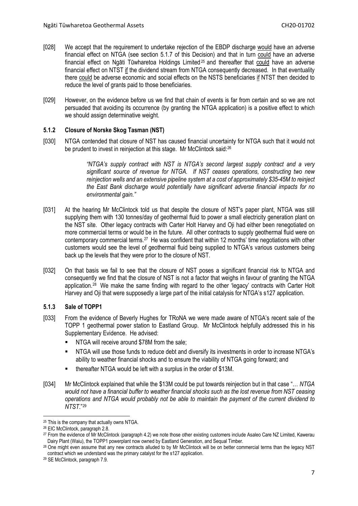- [028] We accept that the requirement to undertake rejection of the EBDP discharge would have an adverse financial effect on NTGA (see section 5.1.7 of this Decision) and that in turn could have an adverse financial effect on Ngāti Tūwharetoa Holdings Limited<sup>[25](#page-6-2)</sup> and thereafter that could have an adverse financial effect on NTST if the dividend stream from NTGA consequently decreased. In that eventuality there could be adverse economic and social effects on the NSTS beneficiaries if NTST then decided to reduce the level of grants paid to those beneficiaries.
- [029] However, on the evidence before us we find that chain of events is far from certain and so we are not persuaded that avoiding its occurrence (by granting the NTGA application) is a positive effect to which we should assign determinative weight.

# <span id="page-6-0"></span>**5.1.2 Closure of Norske Skog Tasman (NST)**

[030] NTGA contended that closure of NST has caused financial uncertainty for NTGA such that it would not be prudent to invest in reinjection at this stage. Mr McClintock said:<sup>[26](#page-6-3)</sup>

> *"NTGA's supply contract with NST is NTGA's second largest supply contract and a very significant source of revenue for NTGA. If NST ceases operations, constructing two new reinjection wells and an extensive pipeline system at a cost of approximately \$35-45M to reinject the East Bank discharge would potentially have significant adverse financial impacts for no environmental gain."*

- [031] At the hearing Mr McClintock told us that despite the closure of NST's paper plant, NTGA was still supplying them with 130 tonnes/day of geothermal fluid to power a small electricity generation plant on the NST site. Other legacy contracts with Carter Holt Harvey and Oji had either been renegotiated on more commercial terms or would be in the future. All other contracts to supply geothermal fluid were on contemporary commercial terms.<sup>[27](#page-6-4)</sup> He was confident that within 12 months' time negotiations with other customers would see the level of geothermal fluid being supplied to NTGA's various customers being back up the levels that they were prior to the closure of NST.
- [032] On that basis we fail to see that the closure of NST poses a significant financial risk to NTGA and consequently we find that the closure of NST is not a factor that weighs in favour of granting the NTGA application.[28](#page-6-5) We make the same finding with regard to the other 'legacy' contracts with Carter Holt Harvey and Oji that were supposedly a large part of the initial catalysis for NTGA's s127 application.

# <span id="page-6-1"></span>**5.1.3 Sale of TOPP1**

- [033] From the evidence of Beverly Hughes for TRoNA we were made aware of NTGA's recent sale of the TOPP 1 geothermal power station to Eastland Group. Mr McClintock helpfully addressed this in his Supplementary Evidence. He advised:
	- NTGA will receive around \$78M from the sale;
	- NTGA will use those funds to reduce debt and diversify its investments in order to increase NTGA's ability to weather financial shocks and to ensure the viability of NTGA going forward; and
	- thereafter NTGA would be left with a surplus in the order of \$13M.
- [034] Mr McClintock explained that while the \$13M could be put towards reinjection but in that case "… *NTGA would not have a financial buffer to weather financial shocks such as the lost revenue from NST ceasing operations and NTGA would probably not be able to maintain the payment of the current dividend to NTST*."[29](#page-6-6)

<span id="page-6-2"></span><sup>25</sup> This is the company that actually owns NTGA.

<span id="page-6-3"></span><sup>26</sup> EIC McClintock, paragraph 2.8.

<span id="page-6-4"></span><sup>&</sup>lt;sup>27</sup> From the evidence of Mr McClintock (paragraph 4.2) we note those other existing customers include Asaleo Care NZ Limited, Kawerau Dairy Plant (Waiu), the TOPP1 powerplant now owned by Eastland Generation, and Sequal Timber.

<span id="page-6-5"></span><sup>&</sup>lt;sup>28</sup> One might even assume that any new contracts alluded to by Mr McClintock will be on better commercial terms than the legacy NST contract which we understand was the primary catalyst for the s127 application.

<span id="page-6-6"></span><sup>29</sup> SE McClintock, paragraph 7.9.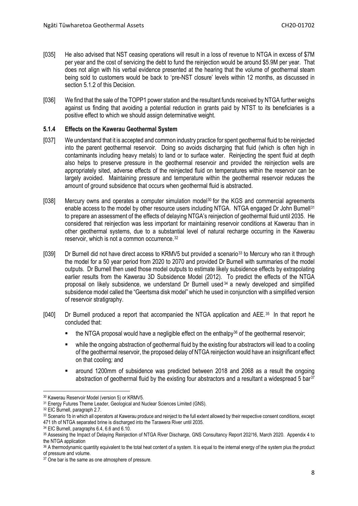- [035] He also advised that NST ceasing operations will result in a loss of revenue to NTGA in excess of \$7M per year and the cost of servicing the debt to fund the reinjection would be around \$5.9M per year. That does not align with his verbal evidence presented at the hearing that the volume of geothermal steam being sold to customers would be back to 'pre-NST closure' levels within 12 months, as discussed in section 5.1.2 of this Decision.
- [036] We find that the sale of the TOPP1 power station and the resultant funds received by NTGA further weighs against us finding that avoiding a potential reduction in grants paid by NTST to its beneficiaries is a positive effect to which we should assign determinative weight.

### <span id="page-7-0"></span>**5.1.4 Effects on the Kawerau Geothermal System**

- [037] We understand that it is accepted and common industry practice for spent geothermal fluid to be reinjected into the parent geothermal reservoir. Doing so avoids discharging that fluid (which is often high in contaminants including heavy metals) to land or to surface water. Reinjecting the spent fluid at depth also helps to preserve pressure in the geothermal reservoir and provided the reinjection wells are appropriately sited, adverse effects of the reinjected fluid on temperatures within the reservoir can be largely avoided. Maintaining pressure and temperature within the geothermal reservoir reduces the amount of ground subsidence that occurs when geothermal fluid is abstracted.
- [038] Mercury owns and operates a computer simulation model<sup>[30](#page-7-1)</sup> for the KGS and commercial agreements enable access to the model by other resource users including NTGA. NTGA engaged Dr John Burnell<sup>[31](#page-7-2)</sup> to prepare an assessment of the effects of delaying NTGA's reinjection of geothermal fluid until 2035. He considered that reinjection was less important for maintaining reservoir conditions at Kawerau than in other geothermal systems, due to a substantial level of natural recharge occurring in the Kawerau reservoir, which is not a common occurrence.[32](#page-7-3)
- [039] Dr Burnell did not have direct access to KRMV5 but provided a scenario<sup>[33](#page-7-4)</sup> to Mercury who ran it through the model for a 50 year period from 2020 to 2070 and provided Dr Burnell with summaries of the model outputs. Dr Burnell then used those model outputs to estimate likely subsidence effects by extrapolating earlier results from the Kawerau 3D Subsidence Model (2012). To predict the effects of the NTGA proposal on likely subsidence, we understand Dr Burnell used [34](#page-7-5) a newly developed and simplified subsidence model called the "Geertsma disk model" which he used in conjunction with a simplified version of reservoir stratigraphy.
- [040] Dr Burnell produced a report that accompanied the NTGA application and AEE.<sup>[35](#page-7-6)</sup> In that report he concluded that:
	- the NTGA proposal would have a negligible effect on the enthalpy<sup>[36](#page-7-7)</sup> of the geothermal reservoir;
	- while the ongoing abstraction of geothermal fluid by the existing four abstractors will lead to a cooling of the geothermal reservoir, the proposed delay of NTGA reinjection would have an insignificant effect on that cooling*;* and
	- around 1200mm of subsidence was predicted between 2018 and 2068 as a result the ongoing abstraction of geothermal fluid by the existing four abstractors and a resultant a widespread 5 bar $37$

<span id="page-7-1"></span><sup>30</sup> Kawerau Reservoir Model (version 5) or KRMV5.

<span id="page-7-2"></span><sup>&</sup>lt;sup>31</sup> Energy Futures Theme Leader, Geological and Nuclear Sciences Limited (GNS).

<span id="page-7-3"></span><sup>32</sup> EIC Burnell, paragraph 2.7.

<span id="page-7-4"></span><sup>33</sup> Scenario 1b in which all operators at Kawerau produce and reinject to the full extent allowed by their respective consent conditions, except 471 t/h of NTGA separated brine is discharged into the Tarawera River until 2035.

<span id="page-7-5"></span><sup>34</sup> EIC Burnell, paragraphs 6.4, 6.6 and 6.10.

<span id="page-7-6"></span><sup>35</sup> Assessing the Impact of Delaying Reinjection of NTGA River Discharge, GNS Consultancy Report 202/16, March 2020. Appendix 4 to the NTGA application

<span id="page-7-7"></span><sup>36</sup> A thermodynamic quantity equivalent to the total heat content of a system. It is equal to the internal energy of the system plus the product of pressure and volume.

<span id="page-7-8"></span><sup>&</sup>lt;sup>37</sup> One bar is the same as one atmosphere of pressure.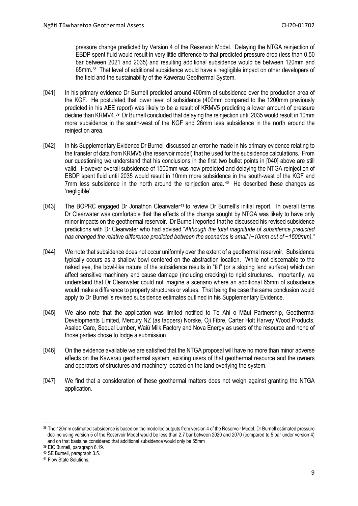pressure change predicted by Version 4 of the Reservoir Model. Delaying the NTGA reinjection of EBDP spent fluid would result in very little difference to that predicted pressure drop (less than 0.50 bar between 2021 and 2035) and resulting additional subsidence would be between 120mm and 65mm. [38](#page-8-0) That level of additional subsidence would have a negligible impact on other developers of the field and the sustainability of the Kawerau Geothermal System.

- [041] In his primary evidence Dr Burnell predicted around 400mm of subsidence over the production area of the KGF. He postulated that lower level of subsidence (400mm compared to the 1200mm previously predicted in his AEE report) was likely to be a result of KRMV5 predicting a lower amount of pressure decline than KRMV4.[39](#page-8-1) Dr Burnell concluded that delaying the reinjection until 2035 would result in 10mm more subsidence in the south-west of the KGF and 26mm less subsidence in the north around the reinjection area.
- [042] In his Supplementary Evidence Dr Burnell discussed an error he made in his primary evidence relating to the transfer of data from KRMV5 (the reservoir model) that he used for the subsidence calculations. From our questioning we understand that his conclusions in the first two bullet points in [040] above are still valid. However overall subsidence of 1500mm was now predicted and delaying the NTGA reinjection of EBDP spent fluid until 2035 would result in 10mm more subsidence in the south-west of the KGF and 7mm less subsidence in the north around the reinjection area. $40$  He described these changes as 'negligible'.
- [043] The BOPRC engaged Dr Jonathon Clearwater<sup>[41](#page-8-3)</sup> to review Dr Burnell's initial report. In overall terms Dr Clearwater was comfortable that the effects of the change sought by NTGA was likely to have only minor impacts on the geothermal reservoir. Dr Burnell reported that he discussed his revised subsidence predictions with Dr Clearwater who had advised "*Although the total magnitude of subsidence predicted has changed the relative difference predicted between the scenarios is small (~10mm out of ~1500mm)."*
- [044] We note that subsidence does not occur uniformly over the extent of a geothermal reservoir. Subsidence typically occurs as a shallow bowl centered on the abstraction location. While not discernable to the naked eye, the bowl-like nature of the subsidence results in "tilt" (or a sloping land surface) which can affect sensitive machinery and cause damage (including cracking) to rigid structures. Importantly, we understand that Dr Clearwater could not imagine a scenario where an additional 65mm of subsidence would make a difference to property structures or values. That being the case the same conclusion would apply to Dr Burnell's revised subsidence estimates outlined in his Supplementary Evidence.
- [045] We also note that the application was limited notified to Te Ahi o Māui Partnership, Geothermal Developments Limited, Mercury NZ (as tappers) Norske, Oji Fibre, Carter Holt Harvey Wood Products, Asaleo Care, Sequal Lumber, Waiū Milk Factory and Nova Energy as users of the resource and none of those parties chose to lodge a submission.
- [046] On the evidence available we are satisfied that the NTGA proposal will have no more than minor adverse effects on the Kawerau geothermal system, existing users of that geothermal resource and the owners and operators of structures and machinery located on the land overlying the system.
- [047] We find that a consideration of these geothermal matters does not weigh against granting the NTGA application.

<span id="page-8-0"></span><sup>38</sup> The 120mm estimated subsidence is based on the modelled outputs from version 4 of the Reservoir Model. Dr Burnell estimated pressure decline using version 5 of the Reservoir Model would be less than 2.7 bar between 2020 and 2070 (compared to 5 bar under version 4) and on that basis he considered that additional subsidence would only be 65mm

<span id="page-8-1"></span><sup>39</sup> EIC Burnell, paragraph 6.19.

<span id="page-8-2"></span><sup>40</sup> SE Burnell, paragraph 3.5.

<span id="page-8-3"></span><sup>&</sup>lt;sup>41</sup> Flow State Solutions.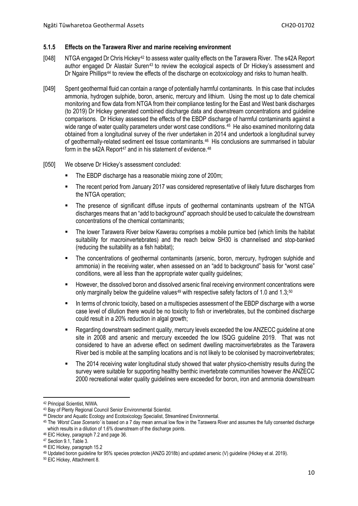#### <span id="page-9-0"></span>**5.1.5 Effects on the Tarawera River and marine receiving environment**

- [048] NTGA engaged Dr Chris Hickey[42](#page-9-1) to assess water quality effects on the Tarawera River. The s42A Report author engaged Dr Alastair Suren[43](#page-9-2) to review the ecological aspects of Dr Hickey's assessment and Dr Ngaire Phillips<sup>[44](#page-9-3)</sup> to review the effects of the discharge on ecotoxicology and risks to human health.
- [049] Spent geothermal fluid can contain a range of potentially harmful contaminants. In this case that includes ammonia, hydrogen sulphide, boron, arsenic, mercury and lithium. Using the most up to date chemical monitoring and flow data from NTGA from their compliance testing for the East and West bank discharges (to 2019) Dr Hickey generated combined discharge data and downstream concentrations and guideline comparisons. Dr Hickey assessed the effects of the EBDP discharge of harmful contaminants against a wide range of water quality parameters under worst case conditions. [45](#page-9-4) He also examined monitoring data obtained from a longitudinal survey of the river undertaken in 2014 and undertook a longitudinal survey of geothermally-related sediment eel tissue contaminants. [46](#page-9-5) His conclusions are summarised in tabular form in the s42A Report<sup>[47](#page-9-6)</sup> and in his statement of evidence.  $48$
- [050] We observe Dr Hickey's assessment concluded:
	- The EBDP discharge has a reasonable mixing zone of 200m;
	- The recent period from January 2017 was considered representative of likely future discharges from the NTGA operation;
	- The presence of significant diffuse inputs of geothermal contaminants upstream of the NTGA discharges means that an "add to background" approach should be used to calculate the downstream concentrations of the chemical contaminants;
	- **The lower Tarawera River below Kawerau comprises a mobile pumice bed (which limits the habitat 4** suitability for macroinvertebrates) and the reach below SH30 is channelised and stop-banked (reducing the suitability as a fish habitat);
	- The concentrations of geothermal contaminants (arsenic, boron, mercury, hydrogen sulphide and ammonia) in the receiving water, when assessed on an "add to background" basis for "worst case" conditions, were all less than the appropriate water quality guidelines;
	- However, the dissolved boron and dissolved arsenic final receiving environment concentrations were only marginally below the guideline values<sup>[49](#page-9-8)</sup> with respective safety factors of 1.0 and 1.3;<sup>[50](#page-9-9)</sup>
	- In terms of chronic toxicity, based on a multispecies assessment of the EBDP discharge with a worse case level of dilution there would be no toxicity to fish or invertebrates, but the combined discharge could result in a 20% reduction in algal growth;
	- Regarding downstream sediment quality, mercury levels exceeded the low ANZECC guideline at one site in 2008 and arsenic and mercury exceeded the low ISQG guideline 2019. That was not considered to have an adverse effect on sediment dwelling macroinvertebrates as the Tarawera River bed is mobile at the sampling locations and is not likely to be colonised by macroinvertebrates;
	- The 2014 receiving water longitudinal study showed that water physico-chemistry results during the survey were suitable for supporting healthy benthic invertebrate communities however the ANZECC 2000 recreational water quality guidelines were exceeded for boron, iron and ammonia downstream

<span id="page-9-1"></span><sup>42</sup> Principal Scientist, NIWA.

<span id="page-9-2"></span><sup>43</sup> Bay of Plenty Regional Council Senior Environmental Scientist.

<span id="page-9-3"></span><sup>44</sup> Director and Aquatic Ecology and Ecotoxicology Specialist, Streamlined Environmental.

<span id="page-9-4"></span><sup>45</sup> The *'Worst Case Scenario'* is based on a 7 day mean annual low flow in the Tarawera River and assumes the fully consented discharge which results in a dilution of 1.6% downstream of the discharge points.

<span id="page-9-5"></span><sup>46</sup> EIC Hickey, paragraph 7.2 and page 36.

<span id="page-9-6"></span><sup>47</sup> Section 9.1, Table 3.

<span id="page-9-7"></span><sup>48</sup> EIC Hickey, paragraph 15.2

<span id="page-9-8"></span><sup>49</sup> Updated boron guideline for 95% species protection (ANZG 2018b) and updated arsenic (V) guideline (Hickey et al. 2019).

<span id="page-9-9"></span><sup>50</sup> EIC Hickey, Attachment 8.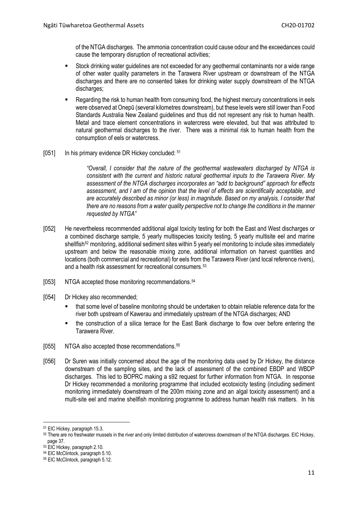of the NTGA discharges. The ammonia concentration could cause odour and the exceedances could cause the temporary disruption of recreational activities;

- Stock drinking water guidelines are not exceeded for any geothermal contaminants nor a wide range of other water quality parameters in the Tarawera River upstream or downstream of the NTGA discharges and there are no consented takes for drinking water supply downstream of the NTGA discharges;
- Regarding the risk to human health from consuming food, the highest mercury concentrations in eels were observed at Onepū (several kilometres downstream), but these levels were still lower than Food Standards Australia New Zealand guidelines and thus did not represent any risk to human health. Metal and trace element concentrations in watercress were elevated, but that was attributed to natural geothermal discharges to the river. There was a minimal risk to human health from the consumption of eels or watercress.
- [0[51](#page-10-0)] In his primary evidence DR Hickey concluded: 51

*"Overall, I consider that the nature of the geothermal wastewaters discharged by NTGA is consistent with the current and historic natural geothermal inputs to the Tarawera River. My assessment of the NTGA discharges incorporates an "add to background" approach for effects assessment, and I am of the opinion that the level of effects are scientifically acceptable, and are accurately described as minor (or less) in magnitude. Based on my analysis, I consider that there are no reasons from a water quality perspective not to change the conditions in the manner requested by NTGA"*

- [052] He nevertheless recommended additional algal toxicity testing for both the East and West discharges or a combined discharge sample, 5 yearly multispecies toxicity testing, 5 yearly multisite eel and marine shellfish<sup>[52](#page-10-1)</sup> monitoring, additional sediment sites within 5 yearly eel monitoring to include sites immediately upstream and below the reasonable mixing zone, additional information on harvest quantities and locations (both commercial and recreational) for eels from the Tarawera River (and local reference rivers), and a health risk assessment for recreational consumers. [53](#page-10-2)
- [053] NTGA accepted those monitoring recommendations.<sup>[54](#page-10-3)</sup>
- [054] Dr Hickey also recommended;
	- that some level of baseline monitoring should be undertaken to obtain reliable reference data for the river both upstream of Kawerau and immediately upstream of the NTGA discharges; AND
	- the construction of a silica terrace for the East Bank discharge to flow over before entering the Tarawera River.
- [055] NTGA also accepted those recommendations.[55](#page-10-4)
- [056] Dr Suren was initially concerned about the age of the monitoring data used by Dr Hickey, the distance downstream of the sampling sites, and the lack of assessment of the combined EBDP and WBDP discharges. This led to BOPRC making a s92 request for further information from NTGA. In response Dr Hickey recommended a monitoring programme that included ecotoxicity testing (including sediment monitoring immediately downstream of the 200m mixing zone and an algal toxicity assessment) and a multi-site eel and marine shellfish monitoring programme to address human health risk matters. In his

<span id="page-10-0"></span><sup>51</sup> EIC Hickey, paragraph 15.3.

<span id="page-10-1"></span><sup>52</sup> There are no freshwater mussels in the river and only limited distribution of watercress downstream of the NTGA discharges. EIC Hickey, page 37.

<span id="page-10-2"></span><sup>53</sup> EIC Hickey, paragraph 2.10.

<span id="page-10-3"></span><sup>54</sup> EIC McClintock, paragraph 5.10.

<span id="page-10-4"></span><sup>55</sup> EIC McClintock, paragraph 5.12.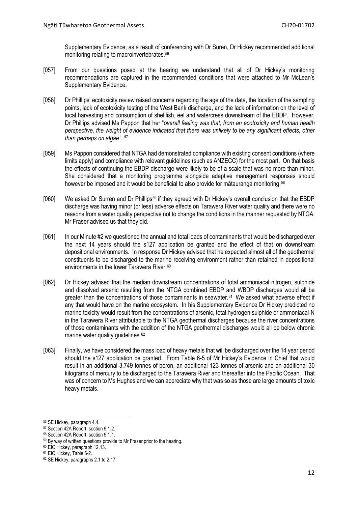Supplementary Evidence, as a result of conferencing with Dr Suren, Dr Hickey recommended additional monitoring relating to macroinvertebrates.[56](#page-11-0)

- [057] From our questions posed at the hearing we understand that all of Dr Hickey's monitoring recommendations are captured in the recommended conditions that were attached to Mr McLean's Supplementary Evidence.
- [058] Dr Phillips' ecotoxicity review raised concerns regarding the age of the data, the location of the sampling points, lack of ecotoxicity testing of the West Bank discharge, and the lack of information on the level of local harvesting and consumption of shellfish, eel and watercress downstream of the EBDP. However, Dr Phillips advised Ms Pappon that her "*overall feeling was that, from an ecotoxicity and human health perspective, the weight of evidence indicated that there was unlikely to be any significant effects, other than perhaps on algae". [57](#page-11-1)*
- [059] Ms Pappon considered that NTGA had demonstrated compliance with existing consent conditions (where limits apply) and compliance with relevant guidelines (such as ANZECC) for the most part. On that basis the effects of continuing the EBDP discharge were likely to be of a scale that was no more than minor. She considered that a monitoring programme alongside adaptive management responses should however be imposed and it would be beneficial to also provide for mātauranga monitoring.<sup>[58](#page-11-2)</sup>
- [060] We asked Dr Surren and Dr Phillips[59](#page-11-3) if they agreed with Dr Hickey's overall conclusion that the EBDP discharge was having minor (or less) adverse effects on Tarawera River water quality and there were no reasons from a water quality perspective not to change the conditions in the manner requested by NTGA. Mr Fraser advised us that they did.
- [061] In our Minute #2 we questioned the annual and total loads of contaminants that would be discharged over the next 14 years should the s127 application be granted and the effect of that on downstream depositional environments. In response Dr Hickey advised that he expected almost all of the geothermal constituents to be discharged to the marine receiving environment rather than retained in depositional environments in the lower Tarawera River. [60](#page-11-4)
- [062] Dr Hickey advised that the median downstream concentrations of total ammoniacal nitrogen, sulphide and dissolved arsenic resulting from the NTGA combined EBDP and WBDP discharges would all be greater than the concentrations of those contaminants in seawater.<sup>[61](#page-11-5)</sup> We asked what adverse effect if any that would have on the marine ecosystem. In his Supplementary Evidence Dr Hickey predicted no marine toxicity would result from the concentrations of arsenic, total hydrogen sulphide or ammoniacal-N in the Tarawera River attributable to the NTGA geothermal discharges because the river concentrations of those contaminants with the addition of the NTGA geothermal discharges would all be below chronic marine water quality guidelines.<sup>[62](#page-11-6)</sup>
- [063] Finally, we have considered the mass load of heavy metals that will be discharged over the 14 year period should the s127 application be granted. From Table 6-5 of Mr Hickey's Evidence in Chief that would result in an additional 3,749 tonnes of boron, an additional 123 tonnes of arsenic and an additional 30 kilograms of mercury to be discharged to the Tarawera River and thereafter into the Pacific Ocean. That was of concern to Ms Hughes and we can appreciate why that was so as those are large amounts of toxic heavy metals.

**<sup>.</sup>** <sup>56</sup> SE Hickey, paragraph 4.4.

<span id="page-11-1"></span><span id="page-11-0"></span><sup>57</sup> Section 42A Report, section 9.1.2.

<span id="page-11-2"></span><sup>58</sup> Section 42A Report, section 9.1.1.

<span id="page-11-3"></span><sup>&</sup>lt;sup>59</sup> By way of written questions provide to Mr Fraser prior to the hearing.

<span id="page-11-4"></span><sup>60</sup> EIC Hickey, paragraph 12.13.

<span id="page-11-5"></span><sup>61</sup> EIC Hickey, Table 6-2.

<span id="page-11-6"></span><sup>62</sup> SE Hickey, paragraphs 2.1 to 2.17.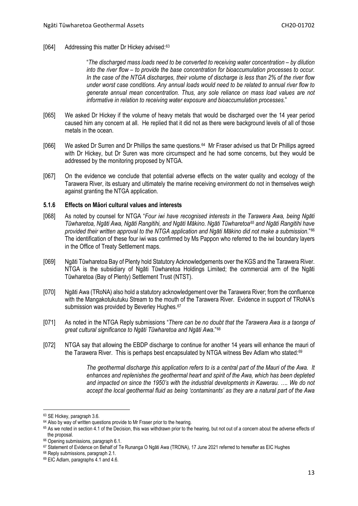#### [064] Addressing this matter Dr Hickey advised: $63$

"*The discharged mass loads need to be converted to receiving water concentration – by dilution into the river flow – to provide the base concentration for bioaccumulation processes to occur. In the case of the NTGA discharges, their volume of discharge is less than 2% of the river flow under worst case conditions. Any annual loads would need to be related to annual river flow to generate annual mean concentration. Thus, any sole reliance on mass load values are not informative in relation to receiving water exposure and bioaccumulation processes*."

- [065] We asked Dr Hickey if the volume of heavy metals that would be discharged over the 14 year period caused him any concern at all. He replied that it did not as there were background levels of all of those metals in the ocean.
- [066] We asked Dr Surren and Dr Phillips the same questions.<sup>[64](#page-12-2)</sup> Mr Fraser advised us that Dr Phillips agreed with Dr Hickey, but Dr Suren was more circumspect and he had some concerns, but they would be addressed by the monitoring proposed by NTGA.
- [067] On the evidence we conclude that potential adverse effects on the water quality and ecology of the Tarawera River, its estuary and ultimately the marine receiving environment do not in themselves weigh against granting the NTGA application.

#### <span id="page-12-0"></span>**5.1.6 Effects on Māori cultural values and interests**

- [068] As noted by counsel for NTGA "*Four iwi have recognised interests in the Tarawera Awa, being Ngāti* Tūwharetoa, Ngāti Awa, Ngāti Rangitihi, and Ngāti Mākino, Ngāti Tūwharetoa<sup>65</sup> and Ngāti Rangitihi have *provided their written approval to the NTGA application and Ngāti Mākino did not make a submission*."[66](#page-12-4) The identification of these four iwi was confirmed by Ms Pappon who referred to the iwi boundary layers in the Office of Treaty Settlement maps.
- [069] Ngāti Tūwharetoa Bay of Plenty hold Statutory Acknowledgements over the KGS and the Tarawera River. NTGA is the subsidiary of Ngāti Tūwharetoa Holdings Limited; the commercial arm of the Ngāti Tūwharetoa (Bay of Plenty) Settlement Trust (NTST).
- [070] Ngāti Awa (TRoNA) also hold a statutory acknowledgement over the Tarawera River; from the confluence with the Mangakotukutuku Stream to the mouth of the Tarawera River. Evidence in support of TRoNA's submission was provided by Beverley Hughes.<sup>[67](#page-12-5)</sup>
- [071] As noted in the NTGA Reply submissions "*There can be no doubt that the Tarawera Awa is a taonga of great cultural significance to Ngāti Tūwharetoa and Ngāti Awa*."[68](#page-12-6)
- [072] NTGA say that allowing the EBDP discharge to continue for another 14 years will enhance the mauri of the Tarawera River. This is perhaps best encapsulated by NTGA witness Bev Adlam who stated:<sup>[69](#page-12-7)</sup>

*The geothermal discharge this application refers to is a central part of the Mauri of the Awa. It enhances and replenishes the geothermal heart and spirit of the Awa, which has been depleted and impacted on since the 1950's with the industrial developments in Kawerau. …. We do not accept the local geothermal fluid as being 'contaminants' as they are a natural part of the Awa* 

<span id="page-12-1"></span><sup>63</sup> SE Hickey, paragraph 3.6.

<span id="page-12-2"></span><sup>&</sup>lt;sup>64</sup> Also by way of written questions provide to Mr Fraser prior to the hearing.

<span id="page-12-3"></span><sup>&</sup>lt;sup>65</sup> As we noted in section 4.1 of the Decision, this was withdrawn prior to the hearing, but not out of a concern about the adverse effects of the proposal.

<span id="page-12-4"></span><sup>66</sup> Opening submissions, paragraph 6.1.

<span id="page-12-5"></span><sup>67</sup> Statement of Evidence on Behalf of Te Runanga O Ngāti Awa (TRONA), 17 June 2021 referred to hereafter as EIC Hughes

<span id="page-12-6"></span><sup>68</sup> Reply submissions, paragraph 2.1.

<span id="page-12-7"></span><sup>69</sup> EIC Adlam, paragraphs 4.1 and 4.6.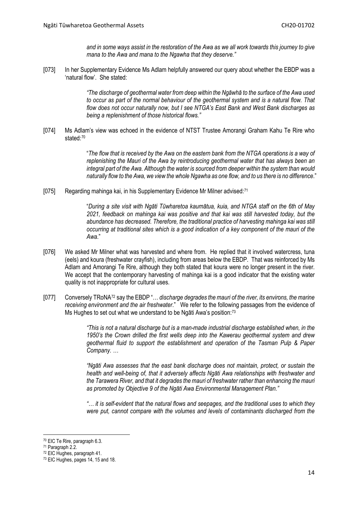*and in some ways assist in the restoration of the Awa as we all work towards this journey to give mana to the Awa and mana to the Ngawha that they deserve."*

[073] In her Supplementary Evidence Ms Adlam helpfully answered our query about whether the EBDP was a 'natural flow'. She stated:

> *"The discharge of geothermal water from deep within the Ngāwhā to the surface of the Awa used to occur as part of the normal behaviour of the geothermal system and is a natural flow. That flow does not occur naturally now, but I see NTGA's East Bank and West Bank discharges as being a replenishment of those historical flows."*

[074] Ms Adlam's view was echoed in the evidence of NTST Trustee Amorangi Graham Kahu Te Rire who stated:[70](#page-13-0)

> "*The flow that is received by the Awa on the eastern bank from the NTGA operations is a way of replenishing the Mauri of the Awa by reintroducing geothermal water that has always been an integral part of the Awa. Although the water is sourced from deeper within the system than would naturally flow to the Awa, we view the whole Ngawha as one flow, and to us there is no difference*."

[075] Regarding mahinga kai, in his Supplementary Evidence Mr Milner advised:[71](#page-13-1)

"*During a site visit with Ngāti Tūwharetoa kaumātua, kuia, and NTGA staff on the 6th of May 2021, feedback on mahinga kai was positive and that kai was still harvested today, but the abundance has decreased. Therefore, the traditional practice of harvesting mahinga kai was still occurring at traditional sites which is a good indication of a key component of the mauri of the Awa*."

- [076] We asked Mr Milner what was harvested and where from. He replied that it involved watercress, tuna (eels) and koura (freshwater crayfish), including from areas below the EBDP. That was reinforced by Ms Adlam and Amorangi Te Rire, although they both stated that koura were no longer present in the river. We accept that the contemporary harvesting of mahinga kai is a good indicator that the existing water quality is not inappropriate for cultural uses.
- [077] Conversely TRoNA[72](#page-13-2) say the EBDP "… *discharge degrades the mauri of the river, its environs, the marine receiving environment and the air freshwater*." We refer to the following passages from the evidence of Ms Hughes to set out what we understand to be Ngāti Awa's position:<sup>[73](#page-13-3)</sup>

*"This is not a natural discharge but is a man-made industrial discharge established when, in the 1950's the Crown drilled the first wells deep into the Kawerau geothermal system and drew geothermal fluid to support the establishment and operation of the Tasman Pulp & Paper Company. …* 

*"Ngāti Awa assesses that the east bank discharge does not maintain, protect, or sustain the health and well-being of, that it adversely affects Ngāti Awa relationships with freshwater and the Tarawera River, and that it degrades the mauri of freshwater rather than enhancing the mauri as promoted by Objective 9 of the Ngāti Awa Environmental Management Plan."*

*"… it is self-evident that the natural flows and seepages, and the traditional uses to which they were put, cannot compare with the volumes and levels of contaminants discharged from the* 

<span id="page-13-0"></span><sup>70</sup> EIC Te Rire, paragraph 6.3.

<span id="page-13-1"></span><sup>71</sup> Paragraph 2.2.

<span id="page-13-2"></span><sup>72</sup> EIC Hughes, paragraph 41.

<span id="page-13-3"></span><sup>73</sup> EIC Hughes, pages 14, 15 and 18.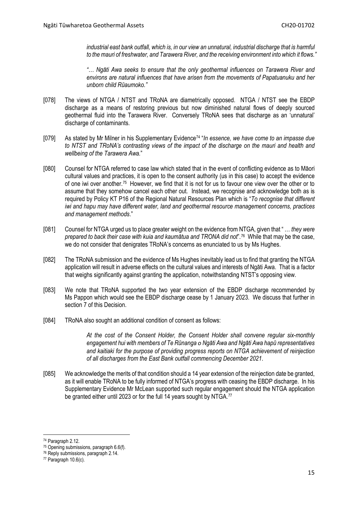*industrial east bank outfall, which is, in our view an unnatural, industrial discharge that is harmful to the mauri of freshwater, and Tarawera River, and the receiving environment into which it flows."*

*"… Ngāti Awa seeks to ensure that the only geothermal influences on Tarawera River and environs are natural influences that have arisen from the movements of Papatuanuku and her unborn child Rūaumoko."*

- [078] The views of NTGA / NTST and TRoNA are diametrically opposed. NTGA / NTST see the EBDP discharge as a means of restoring previous but now diminished natural flows of deeply sourced geothermal fluid into the Tarawera River. Conversely TRoNA sees that discharge as an 'unnatural' discharge of contaminants.
- [079] As stated by Mr Milner in his Supplementary Evidence[74](#page-14-0) "*In essence, we have come to an impasse due*  to NTST and TRoNA's contrasting views of the impact of the discharge on the mauri and health and *wellbeing of the Tarawera Awa.*"
- [080] Counsel for NTGA referred to case law which stated that in the event of conflicting evidence as to Māori cultural values and practices, it is open to the consent authority (us in this case) to accept the evidence of one iwi over another[.75](#page-14-1) However, we find that it is not for us to favour one view over the other or to assume that they somehow cancel each other out. Instead, we recognise and acknowledge both as is required by Policy KT P16 of the Regional Natural Resources Plan which is "*To recognise that different iwi and hapu may have different water, land and geothermal resource management concerns, practices and management methods*."
- [081] Counsel for NTGA urged us to place greater weight on the evidence from NTGA, given that " … *they were prepared to back their case with kuia and kaumātua and TRONA did not*".[76](#page-14-2) While that may be the case, we do not consider that denigrates TRoNA's concerns as enunciated to us by Ms Hughes.
- [082] The TRoNA submission and the evidence of Ms Hughes inevitably lead us to find that granting the NTGA application will result in adverse effects on the cultural values and interests of Ngāti Awa. That is a factor that weighs significantly against granting the application, notwithstanding NTST's opposing view.
- [083] We note that TRoNA supported the two year extension of the EBDP discharge recommended by Ms Pappon which would see the EBDP discharge cease by 1 January 2023. We discuss that further in section 7 of this Decision.
- [084] TRoNA also sought an additional condition of consent as follows:

*At the cost of the Consent Holder, the Consent Holder shall convene regular six-monthly engagement hui with members of Te Rūnanga o Ngāti Awa and Ngāti Awa hapū representatives and kaitiaki for the purpose of providing progress reports on NTGA achievement of reinjection of all discharges from the East Bank outfall commencing December 2021*.

[085] We acknowledge the merits of that condition should a 14 year extension of the reinjection date be granted, as it will enable TRoNA to be fully informed of NTGA's progress with ceasing the EBDP discharge. In his Supplementary Evidence Mr McLean supported such regular engagement should the NTGA application be granted either until 2023 or for the full 14 years sought by NTGA.<sup>[77](#page-14-3)</sup>

<span id="page-14-0"></span><sup>74</sup> Paragraph 2.12.

<span id="page-14-1"></span><sup>75</sup> Opening submissions, paragraph 6.6(f).

<span id="page-14-2"></span><sup>76</sup> Reply submissions, paragraph 2.14.

<span id="page-14-3"></span><sup>77</sup> Paragraph 10.6(c).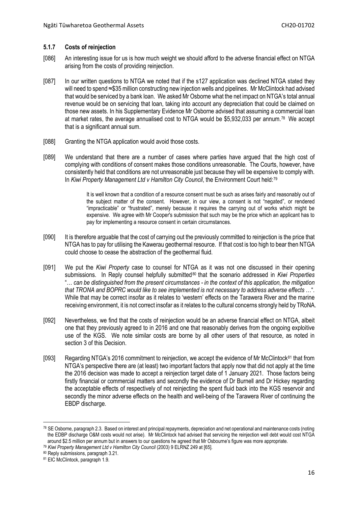### <span id="page-15-0"></span>**5.1.7 Costs of reinjection**

- [086] An interesting issue for us is how much weight we should afford to the adverse financial effect on NTGA arising from the costs of providing reinjection.
- [087] In our written questions to NTGA we noted that if the s127 application was declined NTGA stated they will need to spend ≈\$35 million constructing new injection wells and pipelines. Mr McClintock had advised that would be serviced by a bank loan. We asked Mr Osborne what the net impact on NTGA's total annual revenue would be on servicing that loan, taking into account any depreciation that could be claimed on those new assets. In his Supplementary Evidence Mr Osborne advised that assuming a commercial loan at market rates, the average annualised cost to NTGA would be \$5,932,033 per annum.[78](#page-15-1) We accept that is a significant annual sum.
- [088] Granting the NTGA application would avoid those costs.
- [089] We understand that there are a number of cases where parties have argued that the high cost of complying with conditions of consent makes those conditions unreasonable. The Courts, however, have consistently held that conditions are not unreasonable just because they will be expensive to comply with. In *Kiwi Property Management Ltd v Hamilton City Council*, the Environment Court held:[79](#page-15-2)

It is well known that a condition of a resource consent must be such as arises fairly and reasonably out of the subject matter of the consent. However, in our view, a consent is not "negated", or rendered "impracticable" or "frustrated", merely because it requires the carrying out of works which might be expensive. We agree with Mr Cooper's submission that such may be the price which an applicant has to pay for implementing a resource consent in certain circumstances.

- [090] It is therefore arguable that the cost of carrying out the previously committed to reinjection is the price that NTGA has to pay for utilising the Kawerau geothermal resource. If that cost is too high to bear then NTGA could choose to cease the abstraction of the geothermal fluid.
- [091] We put the *Kiwi Property* case to counsel for NTGA as it was not one discussed in their opening submissions. In Reply counsel helpfully submitted<sup>[80](#page-15-3)</sup> that the scenario addressed in *Kiwi Properties* "… *can be distinguished from the present circumstances - in the context of this application, the mitigation that TRONA and BOPRC would like to see implemented is not necessary to address adverse effects* …". While that may be correct insofar as it relates to 'western' effects on the Tarawera River and the marine receiving environment, it is not correct insofar as it relates to the cultural concerns strongly held by TRoNA.
- [092] Nevertheless, we find that the costs of reinjection would be an adverse financial effect on NTGA, albeit one that they previously agreed to in 2016 and one that reasonably derives from the ongoing exploitive use of the KGS. We note similar costs are borne by all other users of that resource, as noted in section 3 of this Decision.
- [093] Regarding NTGA's 2016 commitment to reinjection, we accept the evidence of Mr McClintock<sup>[81](#page-15-4)</sup> that from NTGA's perspective there are (at least) two important factors that apply now that did not apply at the time the 2016 decision was made to accept a reinjection target date of 1 January 2021. Those factors being firstly financial or commercial matters and secondly the evidence of Dr Burnell and Dr Hickey regarding the acceptable effects of respectively of not reinjecting the spent fluid back into the KGS reservoir and secondly the minor adverse effects on the health and well-being of the Tarawera River of continuing the EBDP discharge.

<span id="page-15-1"></span><sup>78</sup> SE Osborne, paragraph 2.3. Based on interest and principal repayments, depreciation and net operational and maintenance costs (noting the EDBP discharge O&M costs would not arise). Mr McClintock had advised that servicing the reinjection well debt would cost NTGA around \$2.5 million per annum but in answers to our questions he agreed that Mr Osbourne's figure was more appropriate.

<span id="page-15-2"></span><sup>79</sup> *Kiwi Property Management Ltd v Hamilton City Council* (2003) 9 ELRNZ 249 at [65].

<span id="page-15-3"></span><sup>80</sup> Reply submissions, paragraph 3.21.

<span id="page-15-4"></span><sup>81</sup> EIC McClintock, paragraph 1.9.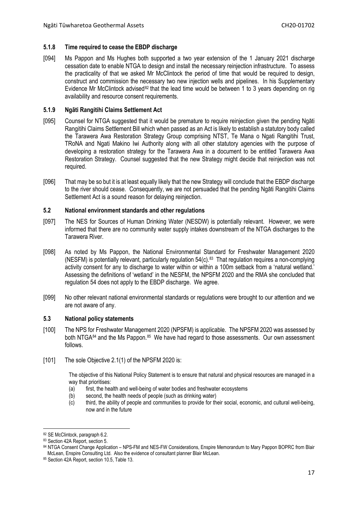#### <span id="page-16-0"></span>**5.1.8 Time required to cease the EBDP discharge**

[094] Ms Pappon and Ms Hughes both supported a two year extension of the 1 January 2021 discharge cessation date to enable NTGA to design and install the necessary reinjection infrastructure. To assess the practicality of that we asked Mr McClintock the period of time that would be required to design, construct and commission the necessary two new injection wells and pipelines. In his Supplementary Evidence Mr McClintock advised<sup>[82](#page-16-4)</sup> that the lead time would be between 1 to 3 years depending on rig availability and resource consent requirements.

#### <span id="page-16-1"></span>**5.1.9 Ngāti Rangitihi Claims Settlement Act**

- [095] Counsel for NTGA suggested that it would be premature to require reinjection given the pending Ngāti Rangitihi Claims Settlement Bill which when passed as an Act is likely to establish a statutory body called the Tarawera Awa Restoration Strategy Group comprising NTST, Te Mana o Ngati Rangitihi Trust, TRoNA and Ngati Makino Iwi Authority along with all other statutory agencies with the purpose of developing a restoration strategy for the Tarawera Awa in a document to be entitled Tarawera Awa Restoration Strategy. Counsel suggested that the new Strategy might decide that reinjection was not required.
- [096] That may be so but it is at least equally likely that the new Strategy will conclude that the EBDP discharge to the river should cease. Consequently, we are not persuaded that the pending Ngāti Rangitihi Claims Settlement Act is a sound reason for delaying reinjection.

#### <span id="page-16-2"></span>**5.2 National environment standards and other regulations**

- [097] The NES for Sources of Human Drinking Water (NESDW) is potentially relevant. However, we were informed that there are no community water supply intakes downstream of the NTGA discharges to the Tarawera River.
- [098] As noted by Ms Pappon, the National Environmental Standard for Freshwater Management 2020 (NESFM) is potentially relevant, particularly regulation  $54(c)$ .<sup>83</sup> That regulation requires a non-complying activity consent for any to discharge to water within or within a 100m setback from a 'natural wetland.' Assessing the definitions of 'wetland' in the NESFM, the NPSFM 2020 and the RMA she concluded that regulation 54 does not apply to the EBDP discharge. We agree.
- [099] No other relevant national environmental standards or regulations were brought to our attention and we are not aware of any.

### <span id="page-16-3"></span>**5.3 National policy statements**

- [100] The NPS for Freshwater Management 2020 (NPSFM) is applicable. The NPSFM 2020 was assessed by both NTGA $^{84}$  $^{84}$  $^{84}$  and the Ms Pappon. $^{85}$  $^{85}$  $^{85}$  We have had regard to those assessments. Our own assessment follows.
- [101] The sole Objective 2.1(1) of the NPSFM 2020 is:

The objective of this National Policy Statement is to ensure that natural and physical resources are managed in a way that prioritises:

- (a) first, the health and well-being of water bodies and freshwater ecosystems
- (b) second, the health needs of people (such as drinking water)
- (c) third, the ability of people and communities to provide for their social, economic, and cultural well-being, now and in the future

 $\overline{\phantom{a}}$ 82 SE McClintock, paragraph 6.2.

<span id="page-16-5"></span><span id="page-16-4"></span><sup>83</sup> Section 42A Report, section 5.

<span id="page-16-6"></span><sup>84</sup> NTGA Consent Change Application – NPS-FM and NES-FW Considerations, Enspire Memorandum to Mary Pappon BOPRC from Blair McLean, Enspire Consulting Ltd. Also the evidence of consultant planner Blair McLean.

<span id="page-16-7"></span><sup>85</sup> Section 42A Report, section 10.5, Table 13.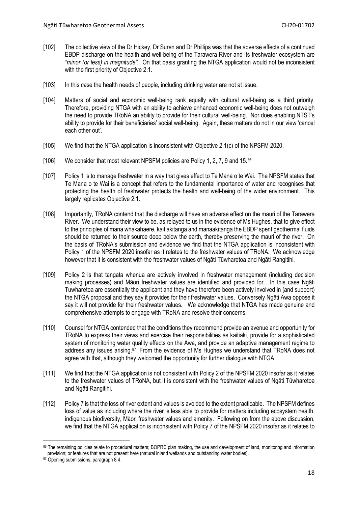- [102] The collective view of the Dr Hickey, Dr Suren and Dr Phillips was that the adverse effects of a continued EBDP discharge on the health and well-being of the Tarawera River and its freshwater ecosystem are *"minor (or less) in magnitude".* On that basis granting the NTGA application would not be inconsistent with the first priority of Objective 2.1.
- [103] In this case the health needs of people, including drinking water are not at issue.
- [104] Matters of social and economic well-being rank equally with cultural well-being as a third priority. Therefore, providing NTGA with an ability to achieve enhanced economic well-being does not outweigh the need to provide TRoNA an ability to provide for their cultural well-being. Nor does enabling NTST's ability to provide for their beneficiaries' social well-being. Again, these matters do not in our view 'cancel each other out'.
- [105] We find that the NTGA application is inconsistent with Objective 2.1(c) of the NPSFM 2020.
- [106] We consider that most relevant NPSFM policies are Policy 1, 2, 7, 9 and 15.[86](#page-17-0)
- [107] Policy 1 is to manage freshwater in a way that gives effect to Te Mana o te Wai. The NPSFM states that Te Mana o te Wai is a concept that refers to the fundamental importance of water and recognises that protecting the health of freshwater protects the health and well-being of the wider environment. This largely replicates Objective 2.1.
- [108] Importantly, TRoNA contend that the discharge will have an adverse effect on the mauri of the Tarawera River. We understand their view to be, as relayed to us in the evidence of Ms Hughes, that to give effect to the principles of mana whakahaere, kaitiakitanga and manaakitanga the EBDP spent geothermal fluids should be returned to their source deep below the earth, thereby preserving the mauri of the river. On the basis of TRoNA's submission and evidence we find that the NTGA application is inconsistent with Policy 1 of the NPSFM 2020 insofar as it relates to the freshwater values of TRoNA. We acknowledge however that it is consistent with the freshwater values of Ngāti Tūwharetoa and Ngāti Rangitihi*.*
- [109] Policy 2 is that tangata whenua are actively involved in freshwater management (including decision making processes) and Māori freshwater values are identified and provided for. In this case Ngāti Tuwharetoa are essentially the applicant and they have therefore been actively involved in (and support) the NTGA proposal and they say it provides for their freshwater values. Conversely Ngāti Awa oppose it say it will not provide for their freshwater values. We acknowledge that NTGA has made genuine and comprehensive attempts to engage with TRoNA and resolve their concerns.
- [110] Counsel for NTGA contended that the conditions they recommend provide an avenue and opportunity for TRoNA to express their views and exercise their responsibilities as kaitiaki, provide for a sophisticated system of monitoring water quality effects on the Awa, and provide an adaptive management regime to address any issues arising.<sup>[87](#page-17-1)</sup> From the evidence of Ms Hughes we understand that TRoNA does not agree with that, although they welcomed the opportunity for further dialogue with NTGA.
- [111] We find that the NTGA application is not consistent with Policy 2 of the NPSFM 2020 insofar as it relates to the freshwater values of TRoNA, but it is consistent with the freshwater values of Ngāti Tūwharetoa and Ngāti Rangitihi*.*
- [112] Policy 7 is that the loss of river extent and values is avoided to the extent practicable. The NPSFM defines loss of value as including where the river is less able to provide for matters including ecosystem health, indigenous biodiversity, Māori freshwater values and amenity. Following on from the above discussion, we find that the NTGA application is inconsistent with Policy 7 of the NPSFM 2020 insofar as it relates to

<span id="page-17-0"></span><sup>86</sup> The remaining policies relate to procedural matters; BOPRC plan making, the use and development of land, monitoring and information provision; or features that are not present here (natural inland wetlands and outstanding water bodies).

<span id="page-17-1"></span><sup>87</sup> Opening submissions, paragraph 8.4.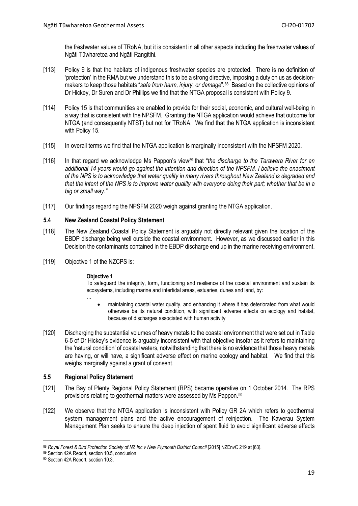the freshwater values of TRoNA, but it is consistent in all other aspects including the freshwater values of Ngāti Tūwharetoa and Ngāti Rangitihi.

- [113] Policy 9 is that the habitats of indigenous freshwater species are protected. There is no definition of 'protection' in the RMA but we understand this to be a strong directive, imposing a duty on us as decisionmakers to keep those habitats "*safe from harm, injury, or damage*".[88](#page-18-2) Based on the collective opinions of Dr Hickey, Dr Suren and Dr Phillips we find that the NTGA proposal is consistent with Policy 9.
- [114] Policy 15 is that communities are enabled to provide for their social, economic, and cultural well-being in a way that is consistent with the NPSFM. Granting the NTGA application would achieve that outcome for NTGA (and consequently NTST) but not for TRoNA. We find that the NTGA application is inconsistent with Policy 15.
- [115] In overall terms we find that the NTGA application is marginally inconsistent with the NPSFM 2020.
- [116] In that regard we acknowledge Ms Pappon's view<sup>[89](#page-18-3)</sup> that "*the discharge to the Tarawera River for an additional 14 years would go against the intention and direction of the NPSFM. I believe the enactment of the NPS is to acknowledge that water quality in many rivers throughout New Zealand is degraded and that the intent of the NPS is to improve water quality with everyone doing their part; whether that be in a big or small way."*
- [117] Our findings regarding the NPSFM 2020 weigh against granting the NTGA application.

# <span id="page-18-0"></span>**5.4 New Zealand Coastal Policy Statement**

- [118] The New Zealand Coastal Policy Statement is arguably not directly relevant given the location of the EBDP discharge being well outside the coastal environment. However, as we discussed earlier in this Decision the contaminants contained in the EBDP discharge end up in the marine receiving environment.
- [119] Objective 1 of the NZCPS is:

…

#### **Objective 1**

To safeguard the integrity, form, functioning and resilience of the coastal environment and sustain its ecosystems, including marine and intertidal areas, estuaries, dunes and land, by:

- maintaining coastal water quality, and enhancing it where it has deteriorated from what would otherwise be its natural condition, with significant adverse effects on ecology and habitat, because of discharges associated with human activity
- [120] Discharging the substantial volumes of heavy metals to the coastal environment that were set out in Table 6-5 of Dr Hickey's evidence is arguably inconsistent with that objective insofar as it refers to maintaining the 'natural condition' of coastal waters, notwithstanding that there is no evidence that those heavy metals are having, or will have, a significant adverse effect on marine ecology and habitat. We find that this weighs marginally against a grant of consent.

# <span id="page-18-1"></span>**5.5 Regional Policy Statement**

- [121] The Bay of Plenty Regional Policy Statement (RPS) became operative on 1 October 2014. The RPS provisions relating to geothermal matters were assessed by Ms Pappon.<sup>[90](#page-18-4)</sup>
- [122] We observe that the NTGA application is inconsistent with Policy GR 2A which refers to geothermal system management plans and the active encouragement of reinjection. The Kawerau System Management Plan seeks to ensure the deep injection of spent fluid to avoid significant adverse effects

<span id="page-18-2"></span><sup>88</sup> Royal Forest & Bird Protection Society of NZ Inc v New Plymouth District Council [2015] NZEnvC 219 at [63].

<span id="page-18-3"></span><sup>89</sup> Section 42A Report, section 10.5, conclusion

<span id="page-18-4"></span><sup>90</sup> Section 42A Report, section 10.3.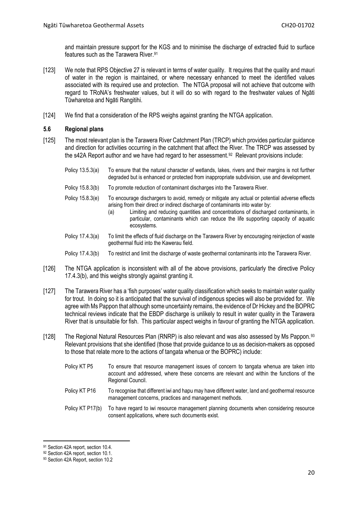and maintain pressure support for the KGS and to minimise the discharge of extracted fluid to surface features such as the Tarawera River. [91](#page-19-1)

- [123] We note that RPS Objective 27 is relevant in terms of water quality. It requires that the quality and mauri of water in the region is maintained, or where necessary enhanced to meet the identified values associated with its required use and protection. The NTGA proposal will not achieve that outcome with regard to TRoNA's freshwater values, but it will do so with regard to the freshwater values of Ngāti Tūwharetoa and Ngāti Rangitihi.
- [124] We find that a consideration of the RPS weighs against granting the NTGA application.

### <span id="page-19-0"></span>**5.6 Regional plans**

- [125] The most relevant plan is the Tarawera River Catchment Plan (TRCP) which provides particular guidance and direction for activities occurring in the catchment that affect the River. The TRCP was assessed by the s42A Report author and we have had regard to her assessment.<sup>[92](#page-19-2)</sup> Relevant provisions include:
	- Policy 13.5.3(a) To ensure that the natural character of wetlands, lakes, rivers and their margins is not further degraded but is enhanced or protected from inappropriate subdivision, use and development.
	- Policy 15.8.3(b) To promote reduction of contaminant discharges into the Tarawera River.
	- Policy 15.8.3(e) To encourage dischargers to avoid, remedy or mitigate any actual or potential adverse effects arising from their direct or indirect discharge of contaminants into water by:
		- (a) Limiting and reducing quantities and concentrations of discharged contaminants, in particular, contaminants which can reduce the life supporting capacity of aquatic ecosystems.
	- Policy 17.4.3(a) To limit the effects of fluid discharge on the Tarawera River by encouraging reinjection of waste geothermal fluid into the Kawerau field.
	- Policy 17.4.3(b) To restrict and limit the discharge of waste geothermal contaminants into the Tarawera River.
- [126] The NTGA application is inconsistent with all of the above provisions, particularly the directive Policy 17.4.3(b), and this weighs strongly against granting it.
- [127] The Tarawera River has a 'fish purposes' water quality classification which seeks to maintain water quality for trout. In doing so it is anticipated that the survival of indigenous species will also be provided for. We agree with Ms Pappon that although some uncertainty remains, the evidence of Dr Hickey and the BOPRC technical reviews indicate that the EBDP discharge is unlikely to result in water quality in the Tarawera River that is unsuitable for fish. This particular aspect weighs in favour of granting the NTGA application.
- [128] The Regional Natural Resources Plan (RNRP) is also relevant and was also assessed by Ms Pappon.<sup>[93](#page-19-3)</sup> Relevant provisions that she identified (those that provide guidance to us as decision-makers as opposed to those that relate more to the actions of tangata whenua or the BOPRC) include:
	- Policy KT P5 To ensure that resource management issues of concern to tangata whenua are taken into account and addressed, where these concerns are relevant and within the functions of the Regional Council.
	- Policy KT P16 To recognise that different iwi and hapu may have different water, land and geothermal resource management concerns, practices and management methods.
	- Policy KT P17(b) To have regard to iwi resource management planning documents when considering resource consent applications, where such documents exist.

<span id="page-19-1"></span><sup>91</sup> Section 42A report, section 10.4.

<span id="page-19-2"></span><sup>92</sup> Section 42A report, section 10.1.

<span id="page-19-3"></span><sup>93</sup> Section 42A Report, section 10.2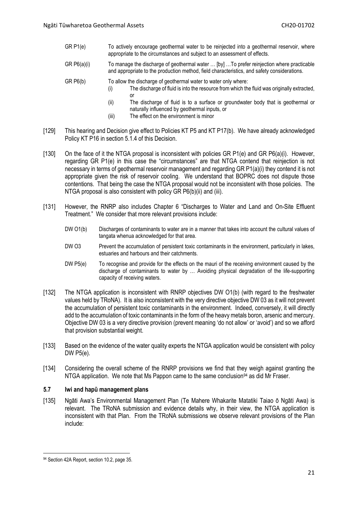- GR P1(e) To actively encourage geothermal water to be reinjected into a geothermal reservoir, where appropriate to the circumstances and subject to an assessment of effects.
- GR P6(a)(i) To manage the discharge of geothermal water … [by] …To prefer reinjection where practicable and appropriate to the production method, field characteristics, and safety considerations.
- GR P6(b) To allow the discharge of geothermal water to water only where:
	- (i) The discharge of fluid is into the resource from which the fluid was originally extracted, or
	- (ii) The discharge of fluid is to a surface or groundwater body that is geothermal or naturally influenced by geothermal inputs, or
	- (iii) The effect on the environment is minor
- [129] This hearing and Decision give effect to Policies KT P5 and KT P17(b). We have already acknowledged Policy KT P16 in section 5.1.4 of this Decision.
- [130] On the face of it the NTGA proposal is inconsistent with policies GR P1(e) and GR P6(a)(i). However, regarding GR P1(e) in this case the "circumstances" are that NTGA contend that reinjection is not necessary in terms of geothermal reservoir management and regarding GR P1(a)(i) they contend it is not appropriate given the risk of reservoir cooling. We understand that BOPRC does not dispute those contentions. That being the case the NTGA proposal would not be inconsistent with those policies. The NTGA proposal is also consistent with policy GR P6(b)(ii) and (iii).
- [131] However, the RNRP also includes Chapter 6 "Discharges to Water and Land and On-Site Effluent Treatment." We consider that more relevant provisions include:
	- DW O1(b) Discharges of contaminants to water are in a manner that takes into account the cultural values of tangata whenua acknowledged for that area.
	- DW O3 Prevent the accumulation of persistent toxic contaminants in the environment, particularly in lakes, estuaries and harbours and their catchments.
	- DW P5(e) To recognise and provide for the effects on the mauri of the receiving environment caused by the discharge of contaminants to water by … Avoiding physical degradation of the life-supporting capacity of receiving waters.
- [132] The NTGA application is inconsistent with RNRP objectives DW O1(b) (with regard to the freshwater values held by TRoNA). It is also inconsistent with the very directive objective DW 03 as it will not prevent the accumulation of persistent toxic contaminants in the environment. Indeed, conversely, it will directly add to the accumulation of toxic contaminants in the form of the heavy metals boron, arsenic and mercury. Objective DW 03 is a very directive provision (prevent meaning 'do not allow' or 'avoid') and so we afford that provision substantial weight.
- [133] Based on the evidence of the water quality experts the NTGA application would be consistent with policy DW P5(e).
- [134] Considering the overall scheme of the RNRP provisions we find that they weigh against granting the NTGA application. We note that Ms Pappon came to the same conclusion<sup>[94](#page-20-1)</sup> as did Mr Fraser.

#### <span id="page-20-0"></span>**5.7 Iwi and hapū management plans**

[135] Ngāti Awa's Environmental Management Plan (Te Mahere Whakarite Matatiki Taiao ō Ngāti Awa) is relevant. The TRoNA submission and evidence details why, in their view, the NTGA application is inconsistent with that Plan. From the TRoNA submissions we observe relevant provisions of the Plan include:

<span id="page-20-1"></span> $\overline{\phantom{a}}$ 94 Section 42A Report, section 10.2, page 35.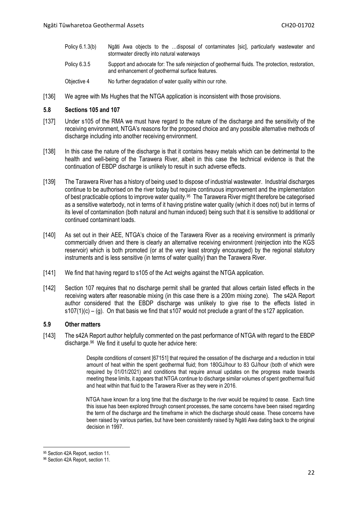- Policy 6.1.3(b) Ngāti Awa objects to the …disposal of contaminates [sic], particularly wastewater and stormwater directly into natural waterways
- Policy 6.3.5 Support and advocate for: The safe reinjection of geothermal fluids. The protection, restoration, and enhancement of geothermal surface features.
- Objective 4 No further degradation of water quality within our rohe.
- [136] We agree with Ms Hughes that the NTGA application is inconsistent with those provisions.

#### <span id="page-21-0"></span>**5.8 Sections 105 and 107**

- [137] Under s105 of the RMA we must have regard to the nature of the discharge and the sensitivity of the receiving environment, NTGA's reasons for the proposed choice and any possible alternative methods of discharge including into another receiving environment.
- [138] In this case the nature of the discharge is that it contains heavy metals which can be detrimental to the health and well-being of the Tarawera River, albeit in this case the technical evidence is that the continuation of EBDP discharge is unlikely to result in such adverse effects.
- [139] The Tarawera River has a history of being used to dispose of industrial wastewater. Industrial discharges continue to be authorised on the river today but require continuous improvement and the implementation of best practicable options to improve water quality.<sup>[95](#page-21-2)</sup> The Tarawera River might therefore be categorised as a sensitive waterbody, not in terms of it having pristine water quality (which it does not) but in terms of its level of contamination (both natural and human induced) being such that it is sensitive to additional or continued contaminant loads.
- [140] As set out in their AEE, NTGA's choice of the Tarawera River as a receiving environment is primarily commercially driven and there is clearly an alternative receiving environment (reinjection into the KGS reservoir) which is both promoted (or at the very least strongly encouraged) by the regional statutory instruments and is less sensitive (in terms of water quality) than the Tarawera River.
- [141] We find that having regard to s105 of the Act weighs against the NTGA application.
- [142] Section 107 requires that no discharge permit shall be granted that allows certain listed effects in the receiving waters after reasonable mixing (in this case there is a 200m mixing zone). The s42A Report author considered that the EBDP discharge was unlikely to give rise to the effects listed in  $s107(1)(c) - (g)$ . On that basis we find that s107 would not preclude a grant of the s127 application.

#### <span id="page-21-1"></span>**5.9 Other matters**

[143] The s42A Report author helpfully commented on the past performance of NTGA with regard to the EBDP discharge.[96](#page-21-3) We find it useful to quote her advice here:

> Despite conditions of consent [67151] that required the cessation of the discharge and a reduction in total amount of heat within the spent geothermal fluid; from 180GJ/hour to 83 GJ/hour (both of which were required by 01/01/2021) and conditions that require annual updates on the progress made towards meeting these limits, it appears that NTGA continue to discharge similar volumes of spent geothermal fluid and heat within that fluid to the Tarawera River as they were in 2016.

> NTGA have known for a long time that the discharge to the river would be required to cease. Each time this issue has been explored through consent processes, the same concerns have been raised regarding the term of the discharge and the timeframe in which the discharge should cease. These concerns have been raised by various parties, but have been consistently raised by Ngāti Awa dating back to the original decision in 1997.

<span id="page-21-2"></span><sup>95</sup> Section 42A Report, section 11.

<span id="page-21-3"></span><sup>96</sup> Section 42A Report, section 11.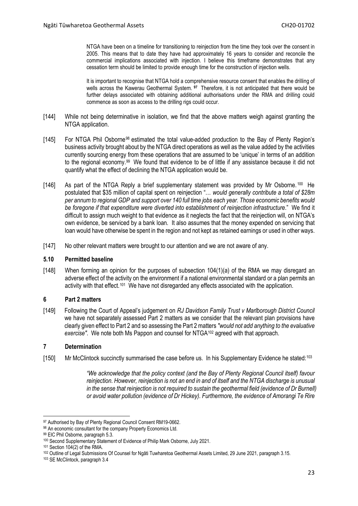NTGA have been on a timeline for transitioning to reinjection from the time they took over the consent in 2005. This means that to date they have had approximately 16 years to consider and reconcile the commercial implications associated with injection. I believe this timeframe demonstrates that any cessation term should be limited to provide enough time for the construction of injection wells.

It is important to recognise that NTGA hold a comprehensive resource consent that enables the drilling of wells across the Kawerau Geothermal System. **[97](#page-22-3)** Therefore, it is not anticipated that there would be further delays associated with obtaining additional authorisations under the RMA and drilling could commence as soon as access to the drilling rigs could occur.

- [144] While not being determinative in isolation, we find that the above matters weigh against granting the NTGA application.
- [145] For NTGA Phil Osborne<sup>[98](#page-22-4)</sup> estimated the total value-added production to the Bay of Plenty Region's business activity brought about by the NTGA direct operations as well as the value added by the activities currently sourcing energy from these operations that are assumed to be 'unique' in terms of an addition to the regional economy.<sup>[99](#page-22-5)</sup> We found that evidence to be of little if any assistance because it did not quantify what the effect of declining the NTGA application would be.
- [146] As part of the NTGA Reply a brief supplementary statement was provided by Mr Osborne. <sup>[100](#page-22-6)</sup> He postulated that \$35 million of capital spent on reinjection "… *would generally contribute a total of \$28m per annum to regional GDP and support over 140 full time jobs each year. Those economic benefits would be foregone if that expenditure were diverted into establishment of reinjection infrastructure*." We find it difficult to assign much weight to that evidence as it neglects the fact that the reinjection will, on NTGA's own evidence, be serviced by a bank loan. It also assumes that the money expended on servicing that loan would have otherwise be spent in the region and not kept as retained earnings or used in other ways.
- [147] No other relevant matters were brought to our attention and we are not aware of any.

#### <span id="page-22-0"></span>**5.10 Permitted baseline**

[148] When forming an opinion for the purposes of subsection 104(1)(a) of the RMA we may disregard an adverse effect of the activity on the environment if a national environmental standard or a plan permits an activity with that effect.<sup>[101](#page-22-7)</sup> We have not disregarded any effects associated with the application.

### <span id="page-22-1"></span>**6 Part 2 matters**

[149] Following the Court of Appeal's judgement on *RJ Davidson Family Trust v Marlborough District Council* we have not separately assessed Part 2 matters as we consider that the relevant plan provisions have clearly given effect to Part 2 and so assessing the Part 2 matters *"would not add anything to the evaluative exercise"*. We note both Ms Pappon and counsel for NTGA[102](#page-22-8) agreed with that approach.

# <span id="page-22-2"></span>**7 Determination**

[150] Mr McClintock succinctly summarised the case before us. In his Supplementary Evidence he stated:<sup>[103](#page-22-9)</sup>

*"We acknowledge that the policy context (and the Bay of Plenty Regional Council itself) favour reinjection. However, reinjection is not an end in and of itself and the NTGA discharge is unusual in the sense that reinjection is not required to sustain the geothermal field (evidence of Dr Burnell) or avoid water pollution (evidence of Dr Hickey). Furthermore, the evidence of Amorangi Te Rire* 

<span id="page-22-7"></span><sup>101</sup> Section 104(2) of the RMA.

<span id="page-22-3"></span><sup>97</sup> Authorised by Bay of Plenty Regional Council Consent RM19-0662.

<span id="page-22-4"></span><sup>98</sup> An economic consultant for the company Property Economics Ltd.

<span id="page-22-5"></span><sup>99</sup> EIC Phil Osborne, paragraph 5.3.

<span id="page-22-6"></span><sup>100</sup> Second Supplementary Statement of Evidence of Philip Mark Osborne, July 2021.

<span id="page-22-8"></span><sup>102</sup> Outline of Legal Submissions Of Counsel for Ngāti Tuwharetoa Geothermal Assets Limited, 29 June 2021, paragraph 3.15.

<span id="page-22-9"></span><sup>103</sup> SE McClintock, paragraph 3.4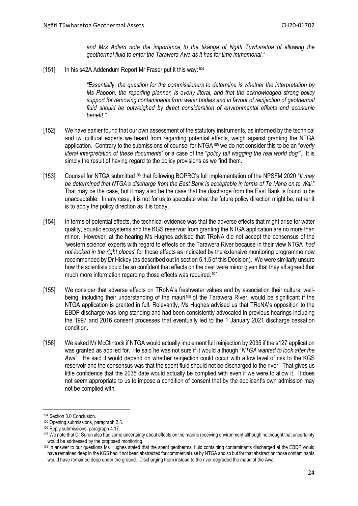*and Mrs Adlam note the importance to the tikanga of Ngāti Tuwharetoa of allowing the geothermal fluid to enter the Tarawera Awa as it has for time immemorial."*

[151] In his s42A Addendum Report Mr Fraser put it this way:<sup>[104](#page-23-0)</sup>

*"Essentially, the question for the commissioners to determine is whether the interpretation by Ms Pappon, the reporting planner, is overly literal, and that the acknowledged strong policy support for removing contaminants from water bodies and in favour of reinjection of geothermal fluid should be outweighed by direct consideration of environmental effects and economic benefit."*

- [152] We have earlier found that our own assessment of the statutory instruments, as informed by the technical and iwi cultural experts we heard from regarding potential effects, weigh against granting the NTGA application. Contrary to the submissions of counsel for NTGA[105](#page-23-1) we do not consider this to be an "*overly literal interpretation of these documents*" or a case of the "*policy tail wagging the real world dog"'*. It is simply the result of having regard to the policy provisions as we find them.
- [153] Counsel for NTGA submitted[106](#page-23-2) that following BOPRC's full implementation of the NPSFM 2020 "*It may be determined that NTGA's discharge from the East Bank is acceptable in terms of Te Mana on te Wai*." That may be the case, but it may also be the case that the discharge from the East Bank is found to be unacceptable. In any case, it is not for us to speculate what the future policy direction might be, rather it is to apply the policy direction as it is today.
- [154] In terms of potential effects, the technical evidence was that the adverse effects that might arise for water quality, aquatic ecosystems and the KGS reservoir from granting the NTGA application are no more than minor. However, at the hearing Ms Hughes advised that TRoNA did not accept the consensus of the 'western science' experts with regard to effects on the Tarawera River because in their view NTGA '*had not looked in the right places*' for those effects as indicated by the extensive monitoring programme now recommended by Dr Hickey (as described out in section 5.1.5 of this Decision). We were similarly unsure how the scientists could be so confident that effects on the river were minor given that they all agreed that much more information regarding those effects was required.<sup>[107](#page-23-3)</sup>
- [155] We consider that adverse effects on TRoNA's freshwater values and by association their cultural well-being, including their understanding of the mauri<sup>[108](#page-23-4)</sup> of the Tarawera River, would be significant if the NTGA application is granted in full. Relevantly, Ms Hughes advised us that TRoNA's opposition to the EBDP discharge was long standing and had been consistently advocated in previous hearings including the 1997 and 2016 consent processes that eventually led to the 1 January 2021 discharge cessation condition.
- [156] We asked Mr McClintock if NTGA would actually implement full reinjection by 2035 if the s127 application was granted as applied for. He said he was not sure if it would although "*NTGA wanted to look after the Awa*". He said it would depend on whether reinjection could occur with a low level of risk to the KGS reservoir and the consensus was that the spent fluid should not be discharged to the river. That gives us little confidence that the 2035 date would actually be complied with even if we were to allow it. It does not seem appropriate to us to impose a condition of consent that by the applicant's own admission may not be complied with.

<span id="page-23-0"></span><sup>104</sup> Section 3.0 Conclusion.

<span id="page-23-1"></span><sup>105</sup> Opening submissions, paragraph 2.3.

<span id="page-23-2"></span><sup>106</sup> Reply submissions, paragraph 4.17.

<span id="page-23-3"></span><sup>&</sup>lt;sup>107</sup> We note that Dr Suren also had some uncertainty about effects on the marine receiving environment although he thought that uncertainty would be addressed by the proposed monitoring.

<span id="page-23-4"></span><sup>108</sup> In answer to our questions Ms Hughes stated that the spent geothermal fluid containing contaminants discharged at the EBDP would have remained deep in the KGS had it not been abstracted for commercial use by NTGA and so but for that abstraction those contaminants would have remained deep under the ground. Discharging them instead to the river degraded the mauri of the Awa.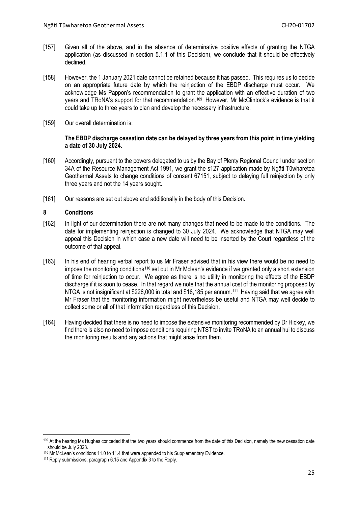- [157] Given all of the above, and in the absence of determinative positive effects of granting the NTGA application (as discussed in section 5.1.1 of this Decision), we conclude that it should be effectively declined.
- [158] However, the 1 January 2021 date cannot be retained because it has passed. This requires us to decide on an appropriate future date by which the reinjection of the EBDP discharge must occur. We acknowledge Ms Pappon's recommendation to grant the application with an effective duration of two years and TRoNA's support for that recommendation.[109](#page-24-1) However, Mr McClintock's evidence is that it could take up to three years to plan and develop the necessary infrastructure.
- [159] Our overall determination is:

### **The EBDP discharge cessation date can be delayed by three years from this point in time yielding a date of 30 July 2024**.

- [160] Accordingly, pursuant to the powers delegated to us by the Bay of Plenty Regional Council under section 34A of the Resource Management Act 1991, we grant the s127 application made by Ngāti Tūwharetoa Geothermal Assets to change conditions of consent 67151, subject to delaying full reinjection by only three years and not the 14 years sought.
- [161] Our reasons are set out above and additionally in the body of this Decision.

# <span id="page-24-0"></span>**8 Conditions**

- [162] In light of our determination there are not many changes that need to be made to the conditions. The date for implementing reinjection is changed to 30 July 2024. We acknowledge that NTGA may well appeal this Decision in which case a new date will need to be inserted by the Court regardless of the outcome of that appeal.
- [163] In his end of hearing verbal report to us Mr Fraser advised that in his view there would be no need to impose the monitoring conditions<sup>[110](#page-24-2)</sup> set out in Mr Mclean's evidence if we granted only a short extension of time for reinjection to occur. We agree as there is no utility in monitoring the effects of the EBDP discharge if it is soon to cease. In that regard we note that the annual cost of the monitoring proposed by NTGA is not insignificant at \$226,000 in total and \$16,185 per annum[.111](#page-24-3) Having said that we agree with Mr Fraser that the monitoring information might nevertheless be useful and NTGA may well decide to collect some or all of that information regardless of this Decision.
- [164] Having decided that there is no need to impose the extensive monitoring recommended by Dr Hickey, we find there is also no need to impose conditions requiring NTST to invite TRoNA to an annual hui to discuss the monitoring results and any actions that might arise from them.

<span id="page-24-1"></span><sup>109</sup> At the hearing Ms Hughes conceded that the two years should commence from the date of this Decision, namely the new cessation date should be July 2023.

<span id="page-24-2"></span><sup>110</sup> Mr McLean's conditions 11.0 to 11.4 that were appended to his Supplementary Evidence.

<span id="page-24-3"></span><sup>111</sup> Reply submissions, paragraph 6.15 and Appendix 3 to the Reply.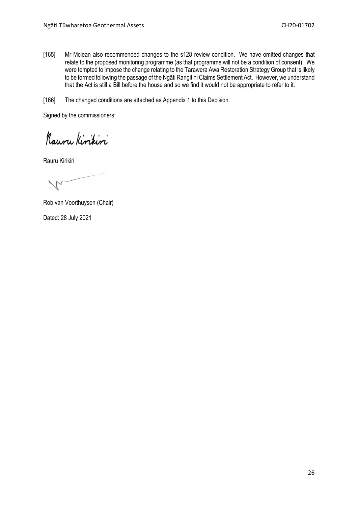[165] Mr Mclean also recommended changes to the s128 review condition. We have omitted changes that relate to the proposed monitoring programme (as that programme will not be a condition of consent). We were tempted to impose the change relating to the Tarawera Awa Restoration Strategy Group that is likely to be formed following the passage of the Ngāti Rangitihi Claims Settlement Act. However, we understand that the Act is still a Bill before the house and so we find it would not be appropriate to refer to it.

[166] The changed conditions are attached as Appendix 1 to this Decision.

Signed by the commissioners:

Kauru Kirikiri

Rauru Kirikiri

Rob van Voorthuysen (Chair)

Dated: 28 July 2021